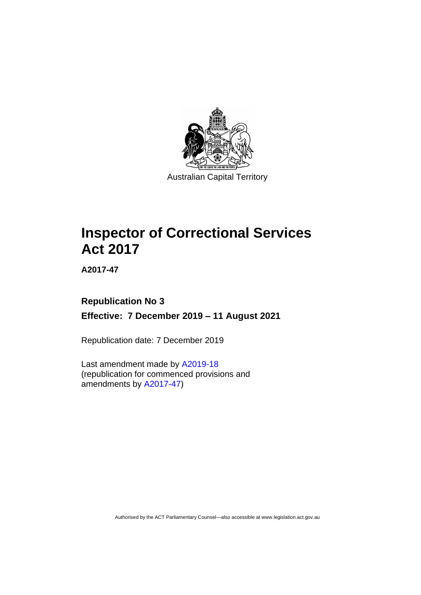

**Inspector of Correctional Services Act 2017** 

**A2017-47**

# **Republication No 3 Effective: 7 December 2019 – 11 August 2021**

Republication date: 7 December 2019

Last amendment made by [A2019-18](http://www.legislation.act.gov.au/a/2019-18/) (republication for commenced provisions and amendments by [A2017-47\)](https://www.legislation.act.gov.au/a/2017-47/#history)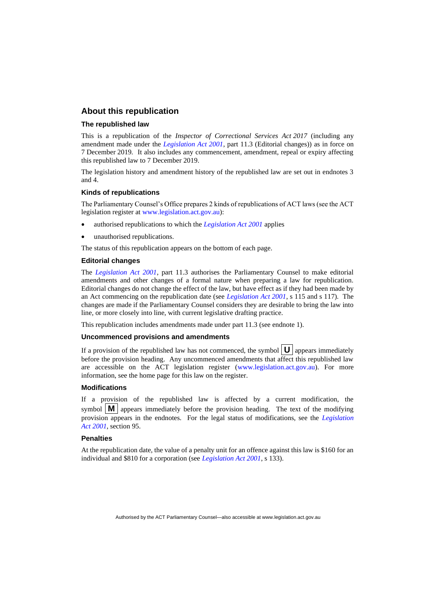#### **About this republication**

#### **The republished law**

This is a republication of the *Inspector of Correctional Services Act 2017* (including any amendment made under the *[Legislation Act 2001](http://www.legislation.act.gov.au/a/2001-14)*, part 11.3 (Editorial changes)) as in force on 7 December 2019*.* It also includes any commencement, amendment, repeal or expiry affecting this republished law to 7 December 2019.

The legislation history and amendment history of the republished law are set out in endnotes 3 and 4.

#### **Kinds of republications**

The Parliamentary Counsel's Office prepares 2 kinds of republications of ACT laws (see the ACT legislation register at [www.legislation.act.gov.au\)](http://www.legislation.act.gov.au/):

- authorised republications to which the *[Legislation Act 2001](http://www.legislation.act.gov.au/a/2001-14)* applies
- unauthorised republications.

The status of this republication appears on the bottom of each page.

#### **Editorial changes**

The *[Legislation Act 2001](http://www.legislation.act.gov.au/a/2001-14)*, part 11.3 authorises the Parliamentary Counsel to make editorial amendments and other changes of a formal nature when preparing a law for republication. Editorial changes do not change the effect of the law, but have effect as if they had been made by an Act commencing on the republication date (see *[Legislation Act 2001](http://www.legislation.act.gov.au/a/2001-14)*, s 115 and s 117). The changes are made if the Parliamentary Counsel considers they are desirable to bring the law into line, or more closely into line, with current legislative drafting practice.

This republication includes amendments made under part 11.3 (see endnote 1).

#### **Uncommenced provisions and amendments**

If a provision of the republished law has not commenced, the symbol  $\mathbf{U}$  appears immediately before the provision heading. Any uncommenced amendments that affect this republished law are accessible on the ACT legislation register [\(www.legislation.act.gov.au\)](http://www.legislation.act.gov.au/). For more information, see the home page for this law on the register.

#### **Modifications**

If a provision of the republished law is affected by a current modification, the symbol  $\mathbf{M}$  appears immediately before the provision heading. The text of the modifying provision appears in the endnotes. For the legal status of modifications, see the *[Legislation](http://www.legislation.act.gov.au/a/2001-14)  Act [2001](http://www.legislation.act.gov.au/a/2001-14)*, section 95.

#### **Penalties**

At the republication date, the value of a penalty unit for an offence against this law is \$160 for an individual and \$810 for a corporation (see *[Legislation Act 2001](http://www.legislation.act.gov.au/a/2001-14)*, s 133).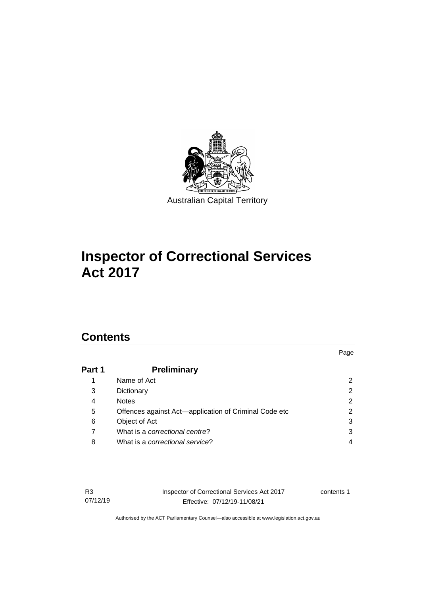

# **Inspector of Correctional Services Act 2017**

# **Contents**

# **Part 1 [Preliminary](#page-7-0)** 1 [Name of Act](#page-7-1) 2 3 [Dictionary](#page-7-2) 2 4 [Notes](#page-7-3) 2 5 [Offences against Act—application of Criminal Code etc](#page-7-4) 2 6 [Object of Act](#page-8-0) 3 7 What is a *[correctional centre](#page-8-1)*? 3 8 What is a *[correctional service](#page-9-0)*? 4

Page

| R3       | Inspector of Correctional Services Act 2017 | contents 1 |
|----------|---------------------------------------------|------------|
| 07/12/19 | Effective: 07/12/19-11/08/21                |            |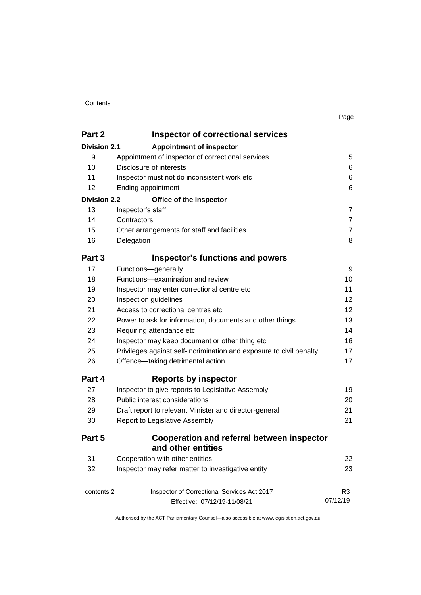#### **Contents**

| ×<br>× |  |
|--------|--|
|        |  |

| Part 2              | <b>Inspector of correctional services</b>                           |                |
|---------------------|---------------------------------------------------------------------|----------------|
| <b>Division 2.1</b> | <b>Appointment of inspector</b>                                     |                |
| 9                   | Appointment of inspector of correctional services                   | 5              |
| 10                  | Disclosure of interests                                             | 6              |
| 11                  | Inspector must not do inconsistent work etc                         |                |
| 12                  | Ending appointment                                                  | 6              |
| <b>Division 2.2</b> | Office of the inspector                                             |                |
| 13                  | Inspector's staff                                                   | $\overline{7}$ |
| 14                  | Contractors                                                         | $\overline{7}$ |
| 15                  | Other arrangements for staff and facilities                         | $\overline{7}$ |
| 16                  | Delegation                                                          | 8              |
| Part 3              | <b>Inspector's functions and powers</b>                             |                |
| 17                  | Functions-generally                                                 | 9              |
| 18                  | Functions-examination and review                                    | 10             |
| 19                  | Inspector may enter correctional centre etc                         | 11             |
| 20                  | Inspection guidelines                                               | 12             |
| 21                  | Access to correctional centres etc                                  | 12             |
| 22                  | Power to ask for information, documents and other things            | 13             |
| 23                  | Requiring attendance etc                                            | 14             |
| 24                  | Inspector may keep document or other thing etc                      | 16             |
| 25                  | Privileges against self-incrimination and exposure to civil penalty | 17             |
| 26                  | Offence-taking detrimental action                                   | 17             |
| Part 4              | <b>Reports by inspector</b>                                         |                |
| 27                  | Inspector to give reports to Legislative Assembly                   | 19             |
| 28                  | Public interest considerations                                      | 20             |
| 29                  | Draft report to relevant Minister and director-general              | 21             |
| 30                  | Report to Legislative Assembly                                      | 21             |
| Part 5              | Cooperation and referral between inspector                          |                |
|                     | and other entities                                                  |                |
| 31                  | Cooperation with other entities                                     | 22             |
| 32                  | Inspector may refer matter to investigative entity                  | 23             |
| contents 2          | Inspector of Correctional Services Act 2017                         | R <sub>3</sub> |
|                     | Effective: 07/12/19-11/08/21                                        | 07/12/19       |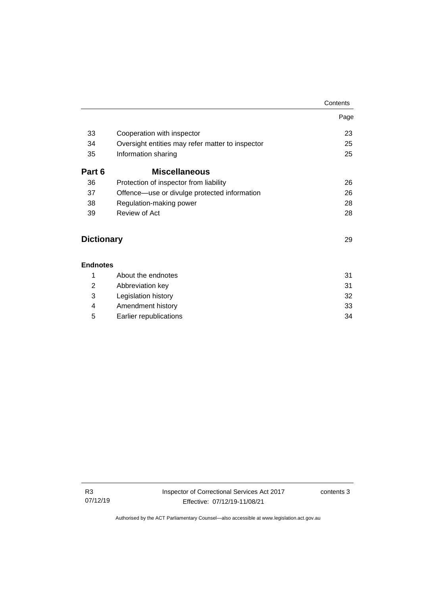|                   |                                                  | Contents |
|-------------------|--------------------------------------------------|----------|
|                   |                                                  | Page     |
| 33                | Cooperation with inspector                       | 23       |
| 34                | Oversight entities may refer matter to inspector | 25       |
| 35                | Information sharing                              | 25       |
| Part 6            | <b>Miscellaneous</b>                             |          |
| 36                | Protection of inspector from liability           | 26       |
| 37                | Offence—use or divulge protected information     | 26       |
| 38                | Regulation-making power                          | 28       |
| 39                | Review of Act                                    | 28       |
| <b>Dictionary</b> |                                                  | 29       |
| <b>Endnotes</b>   |                                                  |          |
| 1                 | About the endnotes                               | 31       |
| $\overline{2}$    | Abbreviation key                                 | 31       |
| 3                 | Legislation history                              | 32       |
| 4                 | Amendment history                                | 33       |
|                   |                                                  |          |

5 [Earlier republications](#page-39-0) 34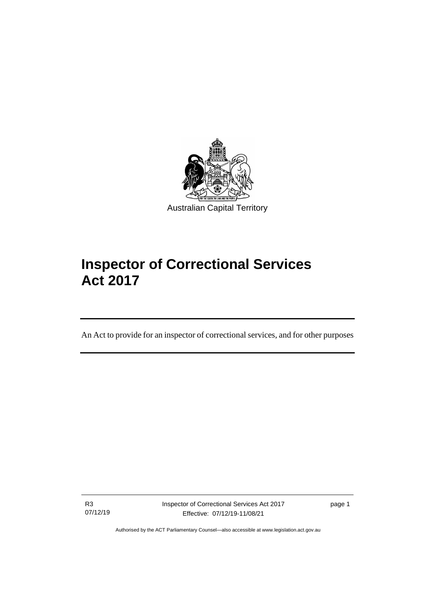

# **Inspector of Correctional Services Act 2017**

An Act to provide for an inspector of correctional services, and for other purposes

R3 07/12/19

ׇֺ֘֒֡

Inspector of Correctional Services Act 2017 Effective: 07/12/19-11/08/21

page 1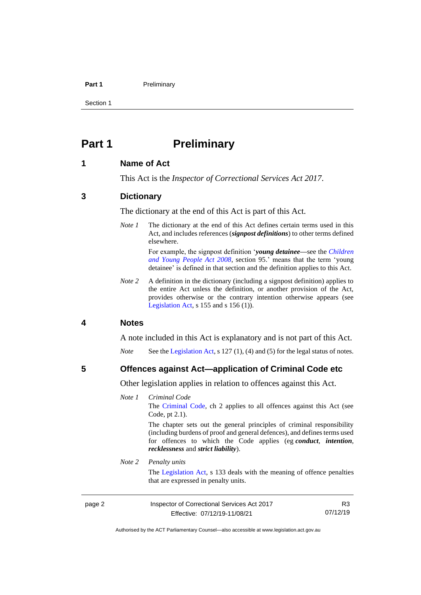#### **Part 1** Preliminary

Section 1

# <span id="page-7-0"></span>**Part 1 Preliminary**

### <span id="page-7-1"></span>**1 Name of Act**

This Act is the *Inspector of Correctional Services Act 2017*.

#### <span id="page-7-2"></span>**3 Dictionary**

The dictionary at the end of this Act is part of this Act.

*Note 1* The dictionary at the end of this Act defines certain terms used in this Act, and includes references (*signpost definitions*) to other terms defined elsewhere.

> For example, the signpost definition '*young detainee—*see the *[Children](http://www.legislation.act.gov.au/a/2008-19)  [and Young People Act 2008](http://www.legislation.act.gov.au/a/2008-19)*, section 95.' means that the term 'young detainee' is defined in that section and the definition applies to this Act.

*Note* 2 A definition in the dictionary (including a signpost definition) applies to the entire Act unless the definition, or another provision of the Act, provides otherwise or the contrary intention otherwise appears (see [Legislation Act,](http://www.legislation.act.gov.au/a/2001-14)  $s$  155 and  $s$  156 (1)).

#### <span id="page-7-3"></span>**4 Notes**

A note included in this Act is explanatory and is not part of this Act.

*Note* See the [Legislation Act,](http://www.legislation.act.gov.au/a/2001-14) s 127 (1), (4) and (5) for the legal status of notes.

#### <span id="page-7-4"></span>**5 Offences against Act—application of Criminal Code etc**

Other legislation applies in relation to offences against this Act.

#### *Note 1 Criminal Code*

The [Criminal Code,](http://www.legislation.act.gov.au/a/2002-51) ch 2 applies to all offences against this Act (see Code, pt 2.1).

The chapter sets out the general principles of criminal responsibility (including burdens of proof and general defences), and defines terms used for offences to which the Code applies (eg *conduct*, *intention*, *recklessness* and *strict liability*).

#### *Note 2 Penalty units*

The [Legislation Act,](http://www.legislation.act.gov.au/a/2001-14) s 133 deals with the meaning of offence penalties that are expressed in penalty units.

page 2 Inspector of Correctional Services Act 2017 Effective: 07/12/19-11/08/21

R3 07/12/19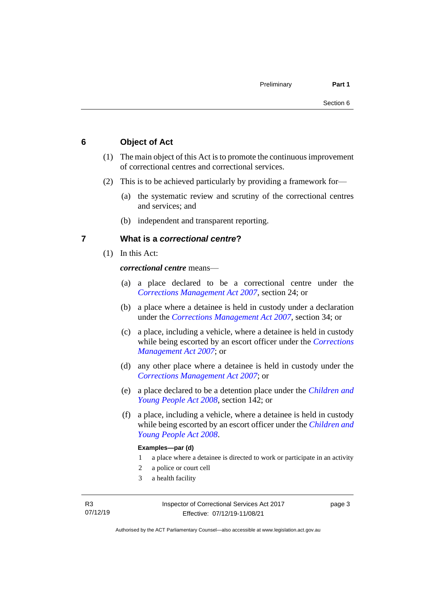## <span id="page-8-0"></span>**6 Object of Act**

- (1) The main object of this Act is to promote the continuous improvement of correctional centres and correctional services.
- (2) This is to be achieved particularly by providing a framework for—
	- (a) the systematic review and scrutiny of the correctional centres and services; and
	- (b) independent and transparent reporting.

### <span id="page-8-1"></span>**7 What is a** *correctional centre***?**

(1) In this Act:

*correctional centre* means—

- (a) a place declared to be a correctional centre under the *[Corrections Management Act 2007](http://www.legislation.act.gov.au/a/2007-15)*, section 24; or
- (b) a place where a detainee is held in custody under a declaration under the *[Corrections Management Act 2007](http://www.legislation.act.gov.au/a/2007-15)*, section 34; or
- (c) a place, including a vehicle, where a detainee is held in custody while being escorted by an escort officer under the *[Corrections](http://www.legislation.act.gov.au/a/2007-15)  [Management Act 2007](http://www.legislation.act.gov.au/a/2007-15)*; or
- (d) any other place where a detainee is held in custody under the *[Corrections Management Act 2007](http://www.legislation.act.gov.au/a/2007-15)*; or
- (e) a place declared to be a detention place under the *[Children and](http://www.legislation.act.gov.au/a/2008-19)  [Young People Act 2008](http://www.legislation.act.gov.au/a/2008-19)*, section 142; or
- (f) a place, including a vehicle, where a detainee is held in custody while being escorted by an escort officer under the *[Children and](http://www.legislation.act.gov.au/a/2008-19)  [Young People Act 2008](http://www.legislation.act.gov.au/a/2008-19)*.

#### **Examples—par (d)**

- 1 a place where a detainee is directed to work or participate in an activity
- 2 a police or court cell
- 3 a health facility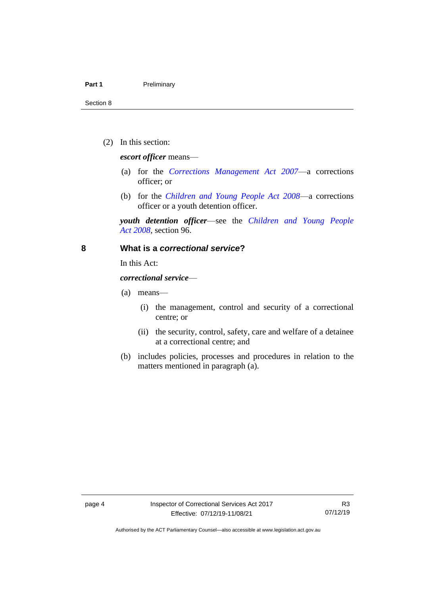#### **Part 1** Preliminary

Section 8

(2) In this section:

*escort officer* means—

- (a) for the *[Corrections Management Act 2007](http://www.legislation.act.gov.au/a/2007-15)*—a corrections officer; or
- (b) for the *[Children and Young People Act 2008](http://www.legislation.act.gov.au/a/2008-19)*—a corrections officer or a youth detention officer.

*youth detention officer*—see the *[Children and Young People](http://www.legislation.act.gov.au/a/2008-19)  Act [2008](http://www.legislation.act.gov.au/a/2008-19)*, section 96.

#### <span id="page-9-0"></span>**8 What is a** *correctional service***?**

In this Act:

*correctional service*—

- (a) means—
	- (i) the management, control and security of a correctional centre; or
	- (ii) the security, control, safety, care and welfare of a detainee at a correctional centre; and
- (b) includes policies, processes and procedures in relation to the matters mentioned in paragraph (a).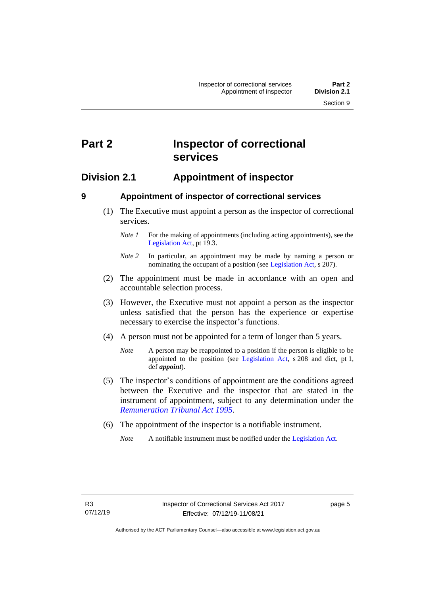# <span id="page-10-0"></span>**Part 2 Inspector of correctional services**

# <span id="page-10-1"></span>**Division 2.1 Appointment of inspector**

<span id="page-10-2"></span>

# **9 Appointment of inspector of correctional services**

(1) The Executive must appoint a person as the inspector of correctional services.

- (2) The appointment must be made in accordance with an open and accountable selection process.
- (3) However, the Executive must not appoint a person as the inspector unless satisfied that the person has the experience or expertise necessary to exercise the inspector's functions.
- (4) A person must not be appointed for a term of longer than 5 years.
	- *Note* A person may be reappointed to a position if the person is eligible to be appointed to the position (see [Legislation Act,](http://www.legislation.act.gov.au/a/2001-14) s 208 and dict, pt 1, def *appoint*).
- (5) The inspector's conditions of appointment are the conditions agreed between the Executive and the inspector that are stated in the instrument of appointment, subject to any determination under the *[Remuneration Tribunal Act 1995](http://www.legislation.act.gov.au/a/1995-55)*.
- (6) The appointment of the inspector is a notifiable instrument.

*Note 1* For the making of appointments (including acting appointments), see the [Legislation Act,](http://www.legislation.act.gov.au/a/2001-14) pt 19.3.

*Note 2* In particular, an appointment may be made by naming a person or nominating the occupant of a position (see [Legislation Act,](http://www.legislation.act.gov.au/a/2001-14) s 207).

*Note* A notifiable instrument must be notified under the [Legislation Act.](http://www.legislation.act.gov.au/a/2001-14)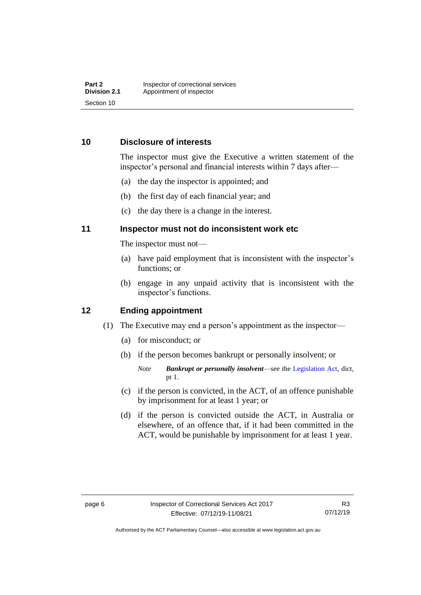# <span id="page-11-0"></span>**10 Disclosure of interests**

The inspector must give the Executive a written statement of the inspector's personal and financial interests within 7 days after—

- (a) the day the inspector is appointed; and
- (b) the first day of each financial year; and
- (c) the day there is a change in the interest.

# <span id="page-11-1"></span>**11 Inspector must not do inconsistent work etc**

The inspector must not—

- (a) have paid employment that is inconsistent with the inspector's functions; or
- (b) engage in any unpaid activity that is inconsistent with the inspector's functions.

### <span id="page-11-2"></span>**12 Ending appointment**

- (1) The Executive may end a person's appointment as the inspector—
	- (a) for misconduct; or
	- (b) if the person becomes bankrupt or personally insolvent; or
		- *Note Bankrupt or personally insolvent*—see the [Legislation Act,](http://www.legislation.act.gov.au/a/2001-14) dict, pt 1.
	- (c) if the person is convicted, in the ACT, of an offence punishable by imprisonment for at least 1 year; or
	- (d) if the person is convicted outside the ACT, in Australia or elsewhere, of an offence that, if it had been committed in the ACT, would be punishable by imprisonment for at least 1 year.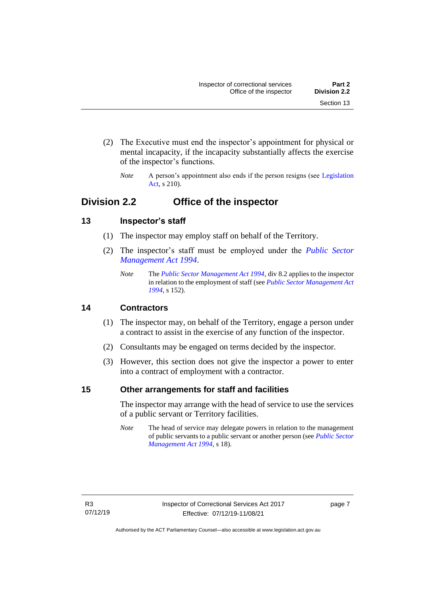- (2) The Executive must end the inspector's appointment for physical or mental incapacity, if the incapacity substantially affects the exercise of the inspector's functions.
	- *Note* A person's appointment also ends if the person resigns (see Legislation [Act,](http://www.legislation.act.gov.au/a/2001-14) s 210).

# <span id="page-12-0"></span>**Division 2.2 Office of the inspector**

# <span id="page-12-1"></span>**13 Inspector's staff**

- (1) The inspector may employ staff on behalf of the Territory.
- (2) The inspector's staff must be employed under the *[Public Sector](http://www.legislation.act.gov.au/a/1994-37)  [Management Act 1994](http://www.legislation.act.gov.au/a/1994-37)*.
	- *Note* The *[Public Sector Management Act 1994](http://www.legislation.act.gov.au/a/1994-37)*, div 8.2 applies to the inspector in relation to the employment of staff (see *[Public Sector Management Act](http://www.legislation.act.gov.au/a/1994-37)  [1994](http://www.legislation.act.gov.au/a/1994-37)*, s 152).

# <span id="page-12-2"></span>**14 Contractors**

- (1) The inspector may, on behalf of the Territory, engage a person under a contract to assist in the exercise of any function of the inspector.
- (2) Consultants may be engaged on terms decided by the inspector.
- (3) However, this section does not give the inspector a power to enter into a contract of employment with a contractor.

# <span id="page-12-3"></span>**15 Other arrangements for staff and facilities**

The inspector may arrange with the head of service to use the services of a public servant or Territory facilities.

*Note* The head of service may delegate powers in relation to the management of public servants to a public servant or another person (see *[Public Sector](http://www.legislation.act.gov.au/a/1994-37)  [Management Act 1994](http://www.legislation.act.gov.au/a/1994-37)*, s 18).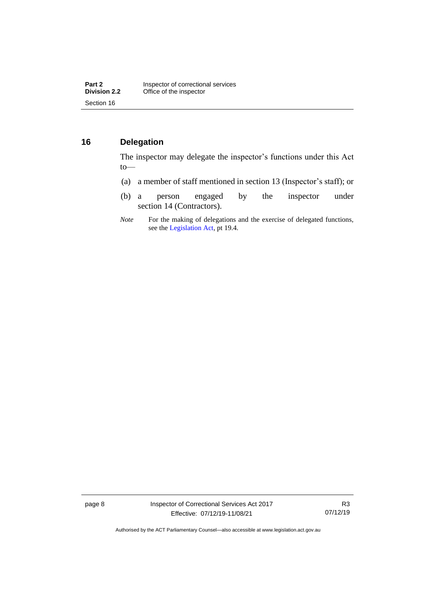# <span id="page-13-0"></span>**16 Delegation**

The inspector may delegate the inspector's functions under this Act to—

- (a) a member of staff mentioned in section 13 (Inspector's staff); or
- (b) a person engaged by the inspector under section 14 (Contractors).
- *Note* For the making of delegations and the exercise of delegated functions, see the [Legislation Act,](http://www.legislation.act.gov.au/a/2001-14) pt 19.4.

page 8 Inspector of Correctional Services Act 2017 Effective: 07/12/19-11/08/21

R3 07/12/19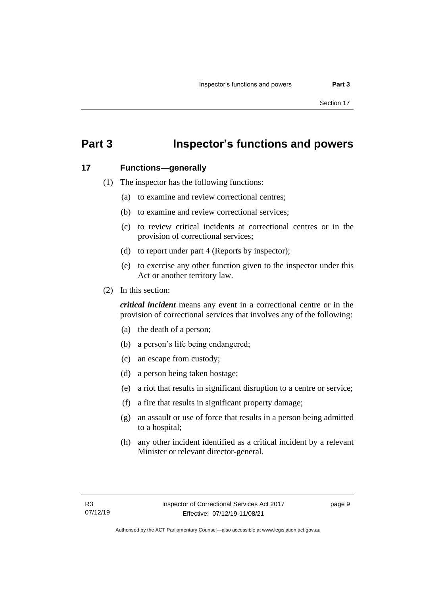# <span id="page-14-0"></span>**Part 3 Inspector's functions and powers**

#### <span id="page-14-1"></span>**17 Functions—generally**

- (1) The inspector has the following functions:
	- (a) to examine and review correctional centres;
	- (b) to examine and review correctional services;
	- (c) to review critical incidents at correctional centres or in the provision of correctional services;
	- (d) to report under part 4 (Reports by inspector);
	- (e) to exercise any other function given to the inspector under this Act or another territory law.
- (2) In this section:

*critical incident* means any event in a correctional centre or in the provision of correctional services that involves any of the following:

- (a) the death of a person;
- (b) a person's life being endangered;
- (c) an escape from custody;
- (d) a person being taken hostage;
- (e) a riot that results in significant disruption to a centre or service;
- (f) a fire that results in significant property damage;
- (g) an assault or use of force that results in a person being admitted to a hospital;
- (h) any other incident identified as a critical incident by a relevant Minister or relevant director-general.

page 9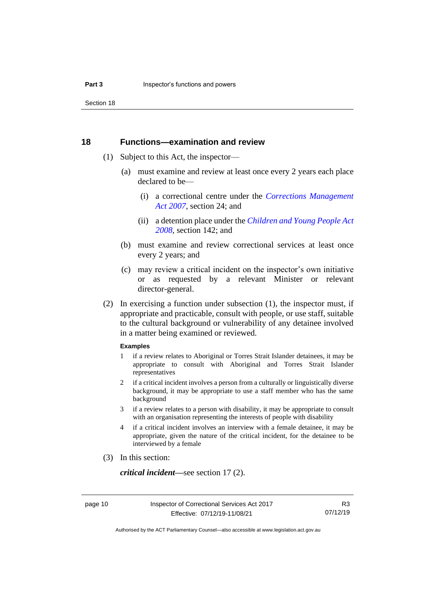Section 18

#### <span id="page-15-0"></span>**18 Functions—examination and review**

- (1) Subject to this Act, the inspector—
	- (a) must examine and review at least once every 2 years each place declared to be-
		- (i) a correctional centre under the *[Corrections Management](http://www.legislation.act.gov.au/a/2007-15)  [Act 2007](http://www.legislation.act.gov.au/a/2007-15)*, section 24; and
		- (ii) a detention place under the *[Children and Young People Act](http://www.legislation.act.gov.au/a/2008-19)  [2008,](http://www.legislation.act.gov.au/a/2008-19)* section 142; and
	- (b) must examine and review correctional services at least once every 2 years; and
	- (c) may review a critical incident on the inspector's own initiative or as requested by a relevant Minister or relevant director-general.
- (2) In exercising a function under subsection (1), the inspector must, if appropriate and practicable, consult with people, or use staff, suitable to the cultural background or vulnerability of any detainee involved in a matter being examined or reviewed.

#### **Examples**

- 1 if a review relates to Aboriginal or Torres Strait Islander detainees, it may be appropriate to consult with Aboriginal and Torres Strait Islander representatives
- 2 if a critical incident involves a person from a culturally or linguistically diverse background, it may be appropriate to use a staff member who has the same background
- 3 if a review relates to a person with disability, it may be appropriate to consult with an organisation representing the interests of people with disability
- 4 if a critical incident involves an interview with a female detainee, it may be appropriate, given the nature of the critical incident, for the detainee to be interviewed by a female
- (3) In this section:

*critical incident—*see section 17 (2).

R3 07/12/19

Authorised by the ACT Parliamentary Counsel—also accessible at www.legislation.act.gov.au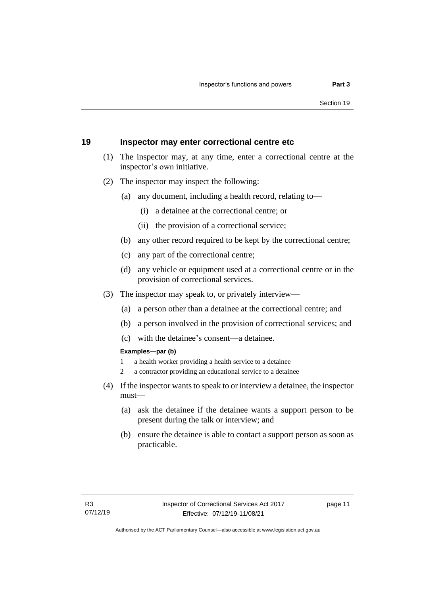### <span id="page-16-0"></span>**19 Inspector may enter correctional centre etc**

- (1) The inspector may, at any time, enter a correctional centre at the inspector's own initiative.
- (2) The inspector may inspect the following:
	- (a) any document, including a health record, relating to—
		- (i) a detainee at the correctional centre; or
		- (ii) the provision of a correctional service;
	- (b) any other record required to be kept by the correctional centre;
	- (c) any part of the correctional centre;
	- (d) any vehicle or equipment used at a correctional centre or in the provision of correctional services.
- (3) The inspector may speak to, or privately interview—
	- (a) a person other than a detainee at the correctional centre; and
	- (b) a person involved in the provision of correctional services; and
	- (c) with the detainee's consent—a detainee.

#### **Examples—par (b)**

- 1 a health worker providing a health service to a detainee
- 2 a contractor providing an educational service to a detainee
- (4) If the inspector wants to speak to or interview a detainee, the inspector must—
	- (a) ask the detainee if the detainee wants a support person to be present during the talk or interview; and
	- (b) ensure the detainee is able to contact a support person as soon as practicable.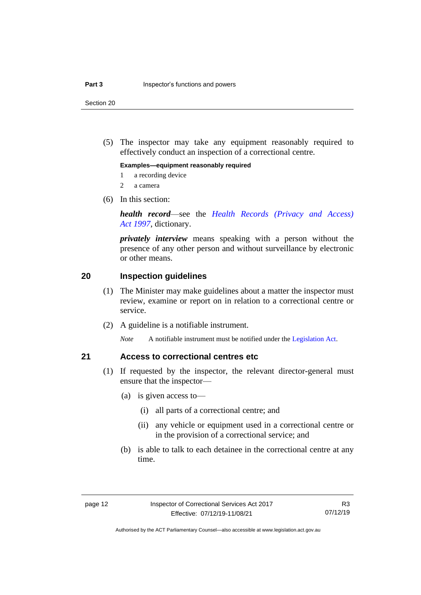Section 20

(5) The inspector may take any equipment reasonably required to effectively conduct an inspection of a correctional centre.

#### **Examples—equipment reasonably required**

- 1 a recording device
- 2 a camera
- (6) In this section:

*health record*—see the *[Health Records \(Privacy and Access\)](http://www.legislation.act.gov.au/a/1997-125)  Act [1997](http://www.legislation.act.gov.au/a/1997-125)*, dictionary.

*privately interview* means speaking with a person without the presence of any other person and without surveillance by electronic or other means.

#### <span id="page-17-0"></span>**20 Inspection guidelines**

- (1) The Minister may make guidelines about a matter the inspector must review, examine or report on in relation to a correctional centre or service.
- (2) A guideline is a notifiable instrument.

*Note* A notifiable instrument must be notified under the [Legislation Act.](http://www.legislation.act.gov.au/a/2001-14)

### <span id="page-17-1"></span>**21 Access to correctional centres etc**

- (1) If requested by the inspector, the relevant director-general must ensure that the inspector—
	- (a) is given access to—
		- (i) all parts of a correctional centre; and
		- (ii) any vehicle or equipment used in a correctional centre or in the provision of a correctional service; and
	- (b) is able to talk to each detainee in the correctional centre at any time.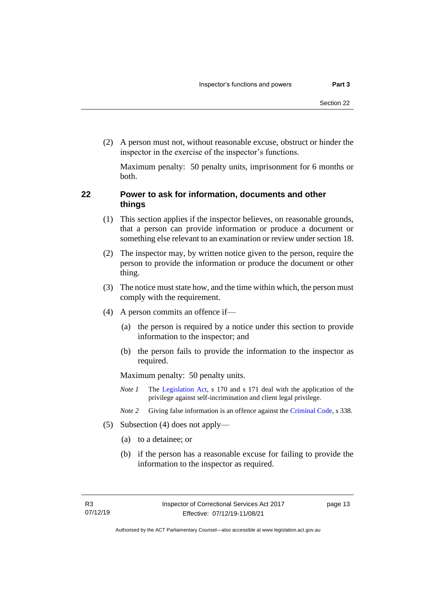(2) A person must not, without reasonable excuse, obstruct or hinder the inspector in the exercise of the inspector's functions.

Maximum penalty: 50 penalty units, imprisonment for 6 months or both.

## <span id="page-18-0"></span>**22 Power to ask for information, documents and other things**

- (1) This section applies if the inspector believes, on reasonable grounds, that a person can provide information or produce a document or something else relevant to an examination or review under section 18.
- (2) The inspector may, by written notice given to the person, require the person to provide the information or produce the document or other thing.
- (3) The notice must state how, and the time within which, the person must comply with the requirement.
- (4) A person commits an offence if—
	- (a) the person is required by a notice under this section to provide information to the inspector; and
	- (b) the person fails to provide the information to the inspector as required.

Maximum penalty: 50 penalty units.

- *Note 1* The [Legislation Act,](http://www.legislation.act.gov.au/a/2001-14) s 170 and s 171 deal with the application of the privilege against self-incrimination and client legal privilege.
- *Note 2* Giving false information is an offence against th[e Criminal Code,](http://www.legislation.act.gov.au/a/2002-51) s 338.
- (5) Subsection (4) does not apply—
	- (a) to a detainee; or
	- (b) if the person has a reasonable excuse for failing to provide the information to the inspector as required.

page 13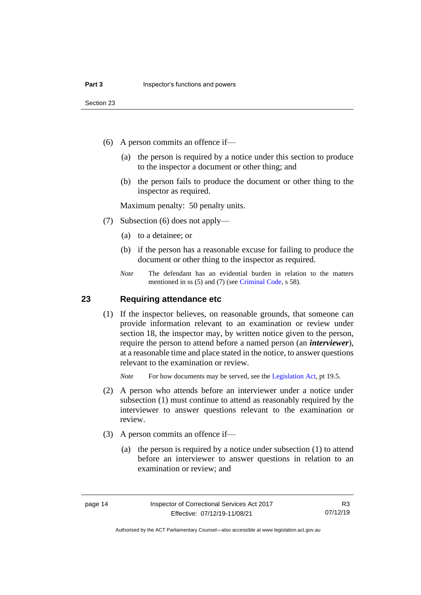- (6) A person commits an offence if—
	- (a) the person is required by a notice under this section to produce to the inspector a document or other thing; and
	- (b) the person fails to produce the document or other thing to the inspector as required.

Maximum penalty: 50 penalty units.

- (7) Subsection (6) does not apply—
	- (a) to a detainee; or
	- (b) if the person has a reasonable excuse for failing to produce the document or other thing to the inspector as required.
	- *Note* The defendant has an evidential burden in relation to the matters mentioned in ss (5) and (7) (see [Criminal Code,](http://www.legislation.act.gov.au/a/2002-51) s 58).

#### <span id="page-19-0"></span>**23 Requiring attendance etc**

(1) If the inspector believes, on reasonable grounds, that someone can provide information relevant to an examination or review under section 18, the inspector may, by written notice given to the person, require the person to attend before a named person (an *interviewer*), at a reasonable time and place stated in the notice, to answer questions relevant to the examination or review.

*Note* For how documents may be served, see th[e Legislation Act,](http://www.legislation.act.gov.au/a/2001-14) pt 19.5.

- (2) A person who attends before an interviewer under a notice under subsection (1) must continue to attend as reasonably required by the interviewer to answer questions relevant to the examination or review.
- (3) A person commits an offence if—
	- (a) the person is required by a notice under subsection (1) to attend before an interviewer to answer questions in relation to an examination or review; and

R3 07/12/19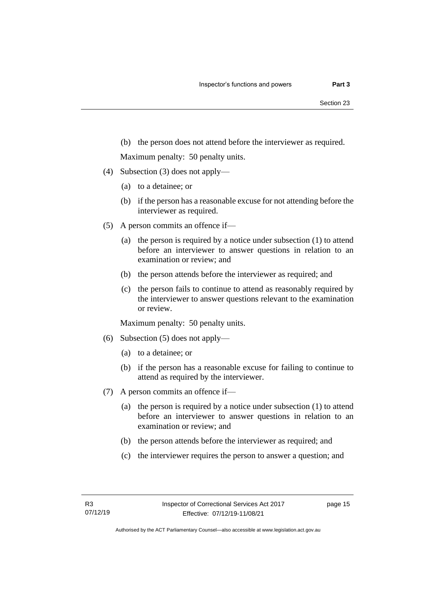(b) the person does not attend before the interviewer as required.

Maximum penalty: 50 penalty units.

- (4) Subsection (3) does not apply—
	- (a) to a detainee; or
	- (b) if the person has a reasonable excuse for not attending before the interviewer as required.
- (5) A person commits an offence if—
	- (a) the person is required by a notice under subsection (1) to attend before an interviewer to answer questions in relation to an examination or review; and
	- (b) the person attends before the interviewer as required; and
	- (c) the person fails to continue to attend as reasonably required by the interviewer to answer questions relevant to the examination or review.

Maximum penalty: 50 penalty units.

- (6) Subsection (5) does not apply—
	- (a) to a detainee; or
	- (b) if the person has a reasonable excuse for failing to continue to attend as required by the interviewer.
- (7) A person commits an offence if—
	- (a) the person is required by a notice under subsection (1) to attend before an interviewer to answer questions in relation to an examination or review; and
	- (b) the person attends before the interviewer as required; and
	- (c) the interviewer requires the person to answer a question; and

page 15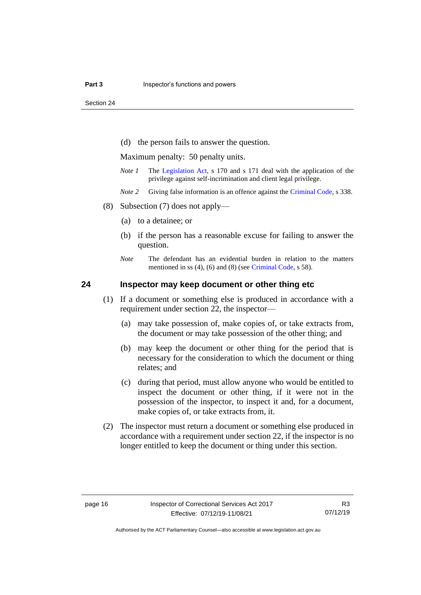Section 24

(d) the person fails to answer the question.

Maximum penalty: 50 penalty units.

- *Note 1* The [Legislation Act,](http://www.legislation.act.gov.au/a/2001-14) s 170 and s 171 deal with the application of the privilege against self-incrimination and client legal privilege.
- *Note 2* Giving false information is an offence against the [Criminal Code,](http://www.legislation.act.gov.au/a/2002-51) s 338.
- (8) Subsection (7) does not apply—
	- (a) to a detainee; or
	- (b) if the person has a reasonable excuse for failing to answer the question.
	- *Note* The defendant has an evidential burden in relation to the matters mentioned in ss (4), (6) and (8) (see [Criminal Code,](http://www.legislation.act.gov.au/a/2002-51) s 58).

### <span id="page-21-0"></span>**24 Inspector may keep document or other thing etc**

- (1) If a document or something else is produced in accordance with a requirement under section 22, the inspector—
	- (a) may take possession of, make copies of, or take extracts from, the document or may take possession of the other thing; and
	- (b) may keep the document or other thing for the period that is necessary for the consideration to which the document or thing relates; and
	- (c) during that period, must allow anyone who would be entitled to inspect the document or other thing, if it were not in the possession of the inspector, to inspect it and, for a document, make copies of, or take extracts from, it.
- (2) The inspector must return a document or something else produced in accordance with a requirement under section 22, if the inspector is no longer entitled to keep the document or thing under this section.

R3 07/12/19

Authorised by the ACT Parliamentary Counsel—also accessible at www.legislation.act.gov.au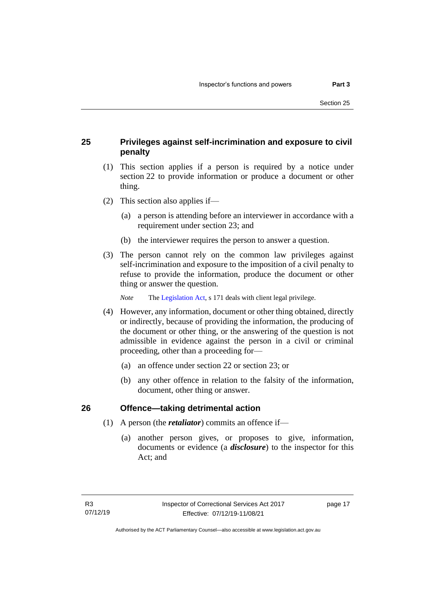# <span id="page-22-0"></span>**25 Privileges against self-incrimination and exposure to civil penalty**

- (1) This section applies if a person is required by a notice under section 22 to provide information or produce a document or other thing.
- (2) This section also applies if—
	- (a) a person is attending before an interviewer in accordance with a requirement under section 23; and
	- (b) the interviewer requires the person to answer a question.
- (3) The person cannot rely on the common law privileges against self-incrimination and exposure to the imposition of a civil penalty to refuse to provide the information, produce the document or other thing or answer the question.

*Note* The [Legislation Act,](http://www.legislation.act.gov.au/a/2001-14) s 171 deals with client legal privilege.

- (4) However, any information, document or other thing obtained, directly or indirectly, because of providing the information, the producing of the document or other thing, or the answering of the question is not admissible in evidence against the person in a civil or criminal proceeding, other than a proceeding for—
	- (a) an offence under section 22 or section 23; or
	- (b) any other offence in relation to the falsity of the information, document, other thing or answer.

### <span id="page-22-1"></span>**26 Offence—taking detrimental action**

- (1) A person (the *retaliator*) commits an offence if—
	- (a) another person gives, or proposes to give, information, documents or evidence (a *disclosure*) to the inspector for this Act; and

page 17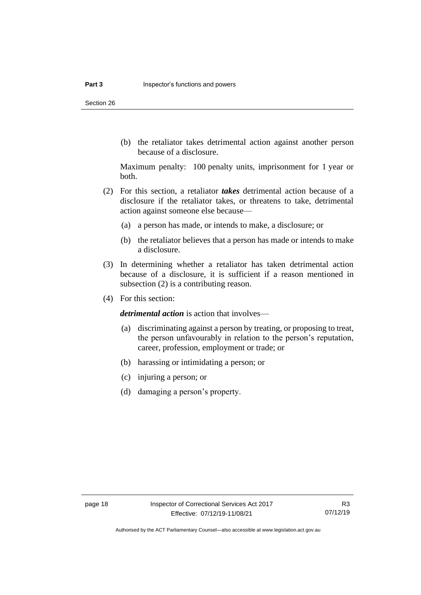Section 26

(b) the retaliator takes detrimental action against another person because of a disclosure.

Maximum penalty: 100 penalty units, imprisonment for 1 year or both.

- (2) For this section, a retaliator *takes* detrimental action because of a disclosure if the retaliator takes, or threatens to take, detrimental action against someone else because—
	- (a) a person has made, or intends to make, a disclosure; or
	- (b) the retaliator believes that a person has made or intends to make a disclosure.
- (3) In determining whether a retaliator has taken detrimental action because of a disclosure, it is sufficient if a reason mentioned in subsection (2) is a contributing reason.
- (4) For this section:

*detrimental action* is action that involves—

- (a) discriminating against a person by treating, or proposing to treat, the person unfavourably in relation to the person's reputation, career, profession, employment or trade; or
- (b) harassing or intimidating a person; or
- (c) injuring a person; or
- (d) damaging a person's property.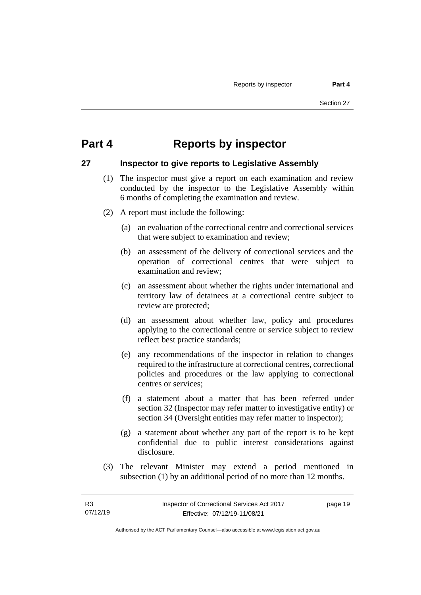# <span id="page-24-0"></span>**Part 4 Reports by inspector**

#### <span id="page-24-1"></span>**27 Inspector to give reports to Legislative Assembly**

- (1) The inspector must give a report on each examination and review conducted by the inspector to the Legislative Assembly within 6 months of completing the examination and review.
- (2) A report must include the following:
	- (a) an evaluation of the correctional centre and correctional services that were subject to examination and review;
	- (b) an assessment of the delivery of correctional services and the operation of correctional centres that were subject to examination and review;
	- (c) an assessment about whether the rights under international and territory law of detainees at a correctional centre subject to review are protected;
	- (d) an assessment about whether law, policy and procedures applying to the correctional centre or service subject to review reflect best practice standards;
	- (e) any recommendations of the inspector in relation to changes required to the infrastructure at correctional centres, correctional policies and procedures or the law applying to correctional centres or services;
	- (f) a statement about a matter that has been referred under section 32 (Inspector may refer matter to investigative entity) or section 34 (Oversight entities may refer matter to inspector);
	- (g) a statement about whether any part of the report is to be kept confidential due to public interest considerations against disclosure.
- (3) The relevant Minister may extend a period mentioned in subsection (1) by an additional period of no more than 12 months.

Authorised by the ACT Parliamentary Counsel—also accessible at www.legislation.act.gov.au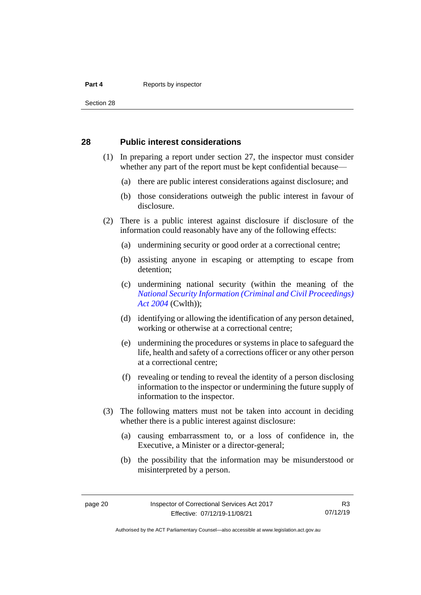#### **Part 4 Reports by inspector**

Section 28

### <span id="page-25-0"></span>**28 Public interest considerations**

- (1) In preparing a report under section 27, the inspector must consider whether any part of the report must be kept confidential because—
	- (a) there are public interest considerations against disclosure; and
	- (b) those considerations outweigh the public interest in favour of disclosure.
- (2) There is a public interest against disclosure if disclosure of the information could reasonably have any of the following effects:
	- (a) undermining security or good order at a correctional centre;
	- (b) assisting anyone in escaping or attempting to escape from detention;
	- (c) undermining national security (within the meaning of the *[National Security Information \(Criminal](https://www.legislation.gov.au/Series/C2004A01385) and Civil Proceedings) [Act 2004](https://www.legislation.gov.au/Series/C2004A01385)* (Cwlth));
	- (d) identifying or allowing the identification of any person detained, working or otherwise at a correctional centre;
	- (e) undermining the procedures or systems in place to safeguard the life, health and safety of a corrections officer or any other person at a correctional centre;
	- (f) revealing or tending to reveal the identity of a person disclosing information to the inspector or undermining the future supply of information to the inspector.
- (3) The following matters must not be taken into account in deciding whether there is a public interest against disclosure:
	- (a) causing embarrassment to, or a loss of confidence in, the Executive, a Minister or a director-general;
	- (b) the possibility that the information may be misunderstood or misinterpreted by a person.

R3 07/12/19

Authorised by the ACT Parliamentary Counsel—also accessible at www.legislation.act.gov.au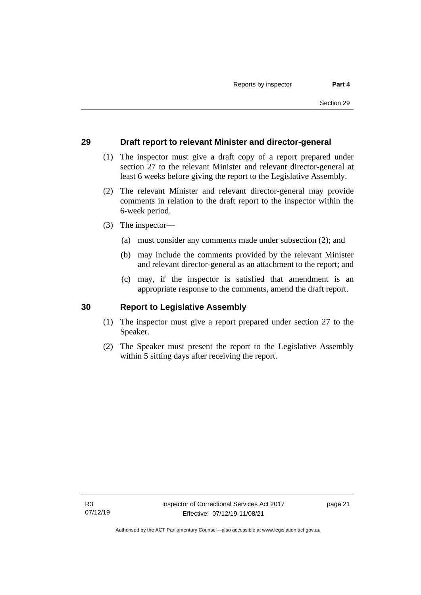### <span id="page-26-0"></span>**29 Draft report to relevant Minister and director-general**

- (1) The inspector must give a draft copy of a report prepared under section 27 to the relevant Minister and relevant director-general at least 6 weeks before giving the report to the Legislative Assembly.
- (2) The relevant Minister and relevant director-general may provide comments in relation to the draft report to the inspector within the 6-week period.
- (3) The inspector—
	- (a) must consider any comments made under subsection (2); and
	- (b) may include the comments provided by the relevant Minister and relevant director-general as an attachment to the report; and
	- (c) may, if the inspector is satisfied that amendment is an appropriate response to the comments, amend the draft report.

#### <span id="page-26-1"></span>**30 Report to Legislative Assembly**

- (1) The inspector must give a report prepared under section 27 to the Speaker.
- (2) The Speaker must present the report to the Legislative Assembly within 5 sitting days after receiving the report.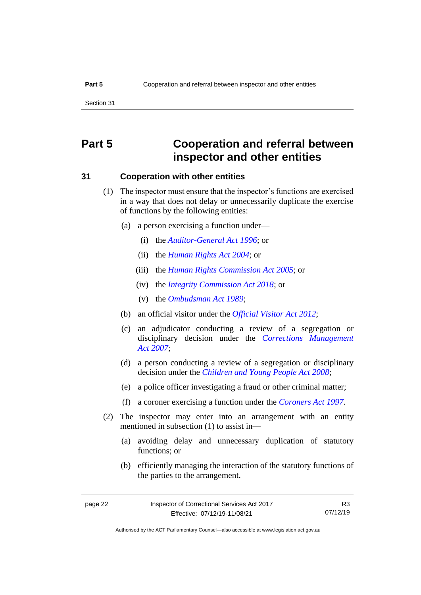# <span id="page-27-0"></span>**Part 5 Cooperation and referral between inspector and other entities**

#### <span id="page-27-1"></span>**31 Cooperation with other entities**

- (1) The inspector must ensure that the inspector's functions are exercised in a way that does not delay or unnecessarily duplicate the exercise of functions by the following entities:
	- (a) a person exercising a function under—
		- (i) the *[Auditor-General Act](http://www.legislation.act.gov.au/a/1996-23) 1996*; or
		- (ii) the *[Human Rights Act](http://www.legislation.act.gov.au/a/2004-5) 2004*; or
		- (iii) the *[Human Rights Commission Act](http://www.legislation.act.gov.au/a/2005-40) 2005*; or
		- (iv) the *[Integrity Commission Act 2018](http://www.legislation.act.gov.au/a/2018-52)*; or
		- (v) the *[Ombudsman Act](http://www.legislation.act.gov.au/a/alt_a1989-45co) 1989*;
	- (b) an official visitor under the *[Official Visitor Act 2012](http://www.legislation.act.gov.au/a/2012-33)*;
	- (c) an adjudicator conducting a review of a segregation or disciplinary decision under the *[Corrections Management](http://www.legislation.act.gov.au/a/2007-15)  Act [2007](http://www.legislation.act.gov.au/a/2007-15)*;
	- (d) a person conducting a review of a segregation or disciplinary decision under the *[Children and Young People Act 2008](http://www.legislation.act.gov.au/a/2008-19)*;
	- (e) a police officer investigating a fraud or other criminal matter;
	- (f) a coroner exercising a function under the *[Coroners Act](http://www.legislation.act.gov.au/a/1997-57) 1997*.
- (2) The inspector may enter into an arrangement with an entity mentioned in subsection (1) to assist in—
	- (a) avoiding delay and unnecessary duplication of statutory functions; or
	- (b) efficiently managing the interaction of the statutory functions of the parties to the arrangement.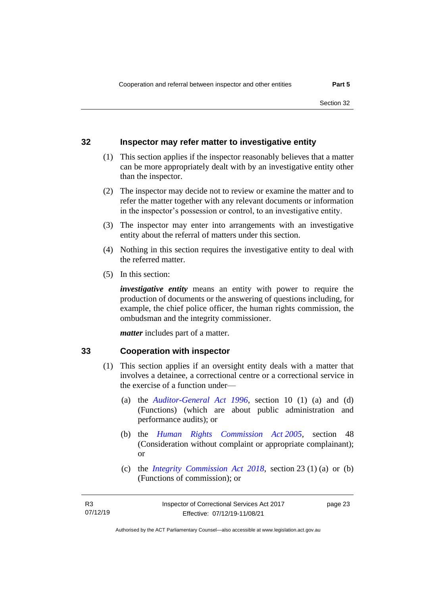### <span id="page-28-0"></span>**32 Inspector may refer matter to investigative entity**

- (1) This section applies if the inspector reasonably believes that a matter can be more appropriately dealt with by an investigative entity other than the inspector.
- (2) The inspector may decide not to review or examine the matter and to refer the matter together with any relevant documents or information in the inspector's possession or control, to an investigative entity.
- (3) The inspector may enter into arrangements with an investigative entity about the referral of matters under this section.
- (4) Nothing in this section requires the investigative entity to deal with the referred matter.
- (5) In this section:

*investigative entity* means an entity with power to require the production of documents or the answering of questions including, for example, the chief police officer, the human rights commission, the ombudsman and the integrity commissioner.

*matter* includes part of a matter.

#### <span id="page-28-1"></span>**33 Cooperation with inspector**

- (1) This section applies if an oversight entity deals with a matter that involves a detainee, a correctional centre or a correctional service in the exercise of a function under—
	- (a) the *[Auditor-General Act 1996](http://www.legislation.act.gov.au/a/1996-23)*, section 10 (1) (a) and (d) (Functions) (which are about public administration and performance audits); or
	- (b) the *[Human Rights Commission Act](http://www.legislation.act.gov.au/a/2005-40) 2005*, section 48 (Consideration without complaint or appropriate complainant); or
	- (c) the *[Integrity Commission Act 2018](http://www.legislation.act.gov.au/a/2018-52)*, section 23 (1) (a) or (b) (Functions of commission); or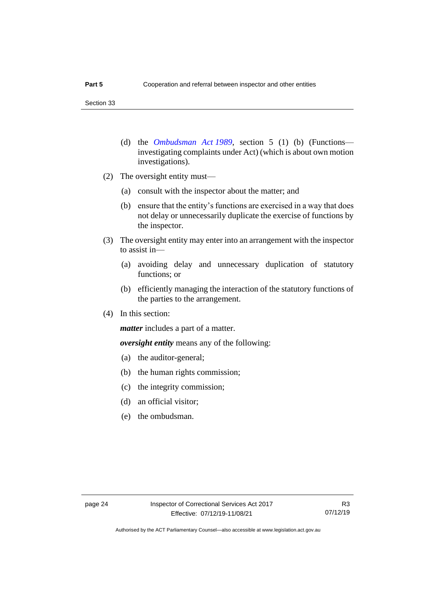- (d) the *[Ombudsman Act](http://www.legislation.act.gov.au/a/alt_a1989-45co) 1989*, section 5 (1) (b) (Functions investigating complaints under Act) (which is about own motion investigations).
- (2) The oversight entity must—
	- (a) consult with the inspector about the matter; and
	- (b) ensure that the entity's functions are exercised in a way that does not delay or unnecessarily duplicate the exercise of functions by the inspector.
- (3) The oversight entity may enter into an arrangement with the inspector to assist in—
	- (a) avoiding delay and unnecessary duplication of statutory functions; or
	- (b) efficiently managing the interaction of the statutory functions of the parties to the arrangement.
- (4) In this section:

*matter* includes a part of a matter.

*oversight entity* means any of the following:

- (a) the auditor-general;
- (b) the human rights commission;
- (c) the integrity commission;
- (d) an official visitor;
- (e) the ombudsman.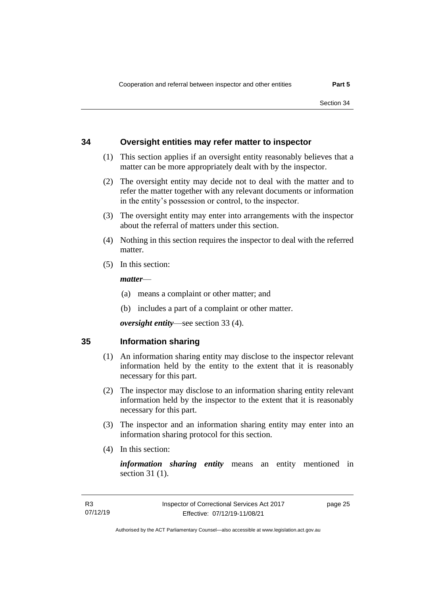### <span id="page-30-0"></span>**34 Oversight entities may refer matter to inspector**

- (1) This section applies if an oversight entity reasonably believes that a matter can be more appropriately dealt with by the inspector.
- (2) The oversight entity may decide not to deal with the matter and to refer the matter together with any relevant documents or information in the entity's possession or control, to the inspector.
- (3) The oversight entity may enter into arrangements with the inspector about the referral of matters under this section.
- (4) Nothing in this section requires the inspector to deal with the referred matter.
- (5) In this section:

#### *matter*—

- (a) means a complaint or other matter; and
- (b) includes a part of a complaint or other matter.

*oversight entity*—see section 33 (4).

#### <span id="page-30-1"></span>**35 Information sharing**

- (1) An information sharing entity may disclose to the inspector relevant information held by the entity to the extent that it is reasonably necessary for this part.
- (2) The inspector may disclose to an information sharing entity relevant information held by the inspector to the extent that it is reasonably necessary for this part.
- (3) The inspector and an information sharing entity may enter into an information sharing protocol for this section.
- (4) In this section:

*information sharing entity* means an entity mentioned in section 31 (1).

page 25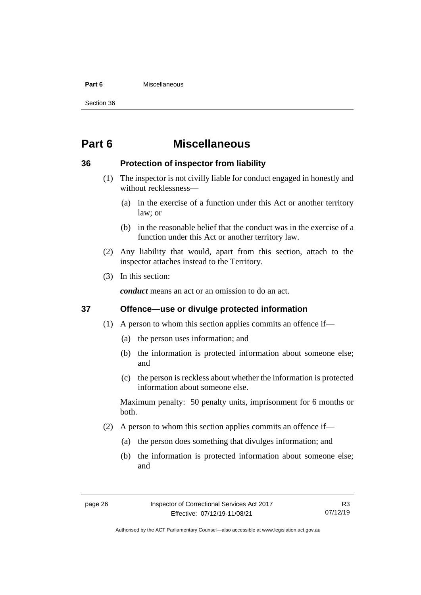#### **Part 6** Miscellaneous

Section 36

# <span id="page-31-0"></span>**Part 6 Miscellaneous**

### <span id="page-31-1"></span>**36 Protection of inspector from liability**

- (1) The inspector is not civilly liable for conduct engaged in honestly and without recklessness—
	- (a) in the exercise of a function under this Act or another territory law; or
	- (b) in the reasonable belief that the conduct was in the exercise of a function under this Act or another territory law.
- (2) Any liability that would, apart from this section, attach to the inspector attaches instead to the Territory.
- (3) In this section:

*conduct* means an act or an omission to do an act.

### <span id="page-31-2"></span>**37 Offence—use or divulge protected information**

- (1) A person to whom this section applies commits an offence if—
	- (a) the person uses information; and
	- (b) the information is protected information about someone else; and
	- (c) the person is reckless about whether the information is protected information about someone else.

Maximum penalty: 50 penalty units, imprisonment for 6 months or both.

- (2) A person to whom this section applies commits an offence if—
	- (a) the person does something that divulges information; and
	- (b) the information is protected information about someone else; and

Authorised by the ACT Parliamentary Counsel—also accessible at www.legislation.act.gov.au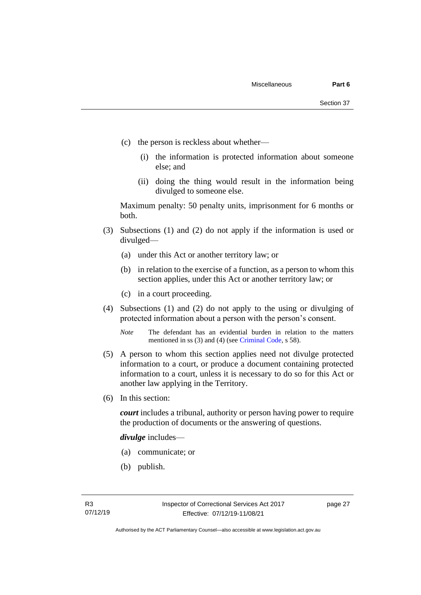- (c) the person is reckless about whether—
	- (i) the information is protected information about someone else; and
	- (ii) doing the thing would result in the information being divulged to someone else.

Maximum penalty: 50 penalty units, imprisonment for 6 months or both.

- (3) Subsections (1) and (2) do not apply if the information is used or divulged—
	- (a) under this Act or another territory law; or
	- (b) in relation to the exercise of a function, as a person to whom this section applies, under this Act or another territory law; or
	- (c) in a court proceeding.
- (4) Subsections (1) and (2) do not apply to the using or divulging of protected information about a person with the person's consent.

*Note* The defendant has an evidential burden in relation to the matters mentioned in ss (3) and (4) (see [Criminal Code,](http://www.legislation.act.gov.au/a/2002-51) s 58).

- (5) A person to whom this section applies need not divulge protected information to a court, or produce a document containing protected information to a court, unless it is necessary to do so for this Act or another law applying in the Territory.
- (6) In this section:

*court* includes a tribunal, authority or person having power to require the production of documents or the answering of questions.

*divulge* includes—

- (a) communicate; or
- (b) publish.

page 27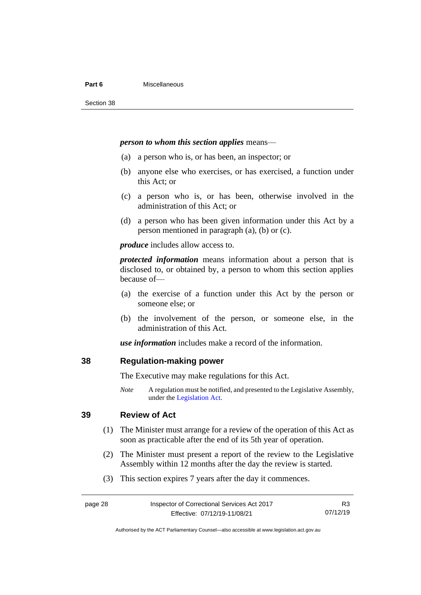#### **Part 6** Miscellaneous

#### *person to whom this section applies* means—

- (a) a person who is, or has been, an inspector; or
- (b) anyone else who exercises, or has exercised, a function under this Act; or
- (c) a person who is, or has been, otherwise involved in the administration of this Act; or
- (d) a person who has been given information under this Act by a person mentioned in paragraph (a), (b) or (c).

*produce* includes allow access to.

*protected information* means information about a person that is disclosed to, or obtained by, a person to whom this section applies because of—

- (a) the exercise of a function under this Act by the person or someone else; or
- (b) the involvement of the person, or someone else, in the administration of this Act.

*use information* includes make a record of the information.

#### <span id="page-33-0"></span>**38 Regulation-making power**

The Executive may make regulations for this Act.

*Note* A regulation must be notified, and presented to the Legislative Assembly, under the [Legislation Act.](http://www.legislation.act.gov.au/a/2001-14)

# <span id="page-33-1"></span>**39 Review of Act**

- (1) The Minister must arrange for a review of the operation of this Act as soon as practicable after the end of its 5th year of operation.
- (2) The Minister must present a report of the review to the Legislative Assembly within 12 months after the day the review is started.
- (3) This section expires 7 years after the day it commences.

| page 28 | Inspector of Correctional Services Act 2017 |          |
|---------|---------------------------------------------|----------|
|         | Effective: 07/12/19-11/08/21                | 07/12/19 |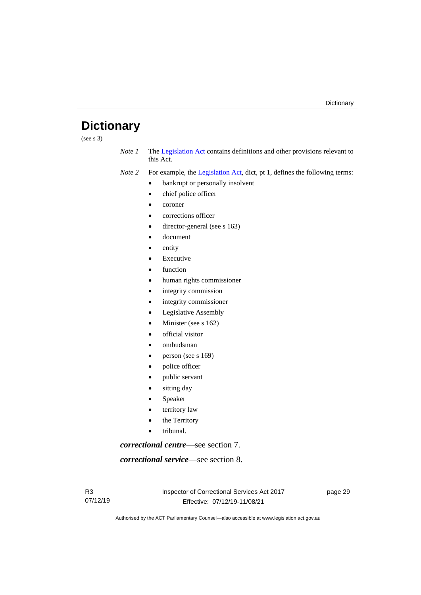# <span id="page-34-0"></span>**Dictionary**

(see s  $3)$ )

*Note 1* The [Legislation Act](http://www.legislation.act.gov.au/a/2001-14) contains definitions and other provisions relevant to this Act.

*Note 2* For example, the [Legislation Act,](http://www.legislation.act.gov.au/a/2001-14) dict, pt 1, defines the following terms:

- bankrupt or personally insolvent
- chief police officer
- coroner
- corrections officer
- director-general (see s 163)
- document
- entity
- **Executive**
- function
- human rights commissioner
- integrity commission
- integrity commissioner
- Legislative Assembly
- Minister (see s 162)
- official visitor
- ombudsman
- person (see s 169)
- police officer
- public servant
- sitting day
- **Speaker**
- territory law
- the Territory
- tribunal.

*correctional centre*—see section 7.

*correctional service*—see section 8.

page 29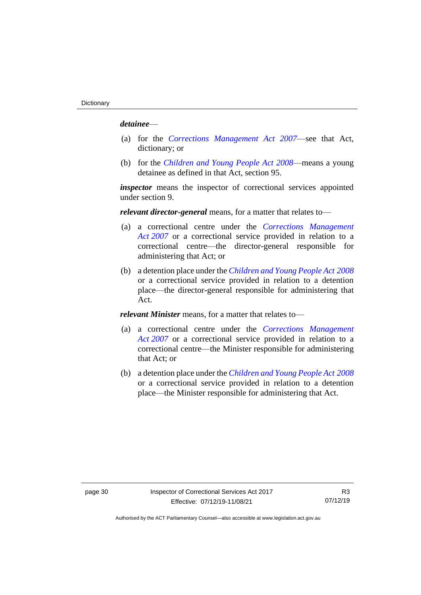#### *detainee*—

- (a) for the *[Corrections Management Act 2007](http://www.legislation.act.gov.au/a/2007-15)*—see that Act, dictionary; or
- (b) for the *[Children and Young People Act 2008](http://www.legislation.act.gov.au/a/2008-19)*—means a young detainee as defined in that Act, section 95.

*inspector* means the inspector of correctional services appointed under section 9.

*relevant director-general* means, for a matter that relates to—

- (a) a correctional centre under the *[Corrections Management](http://www.legislation.act.gov.au/a/2007-15)  Act [2007](http://www.legislation.act.gov.au/a/2007-15)* or a correctional service provided in relation to a correctional centre—the director-general responsible for administering that Act; or
- (b) a detention place under the *[Children and Young People Act](http://www.legislation.act.gov.au/a/2008-19) 2008* or a correctional service provided in relation to a detention place—the director-general responsible for administering that Act.

*relevant Minister* means, for a matter that relates to—

- (a) a correctional centre under the *[Corrections Management](http://www.legislation.act.gov.au/a/2007-15)  Act [2007](http://www.legislation.act.gov.au/a/2007-15)* or a correctional service provided in relation to a correctional centre—the Minister responsible for administering that Act; or
- (b) a detention place under the *[Children and Young People Act](http://www.legislation.act.gov.au/a/2008-19) 2008* or a correctional service provided in relation to a detention place—the Minister responsible for administering that Act.

R3 07/12/19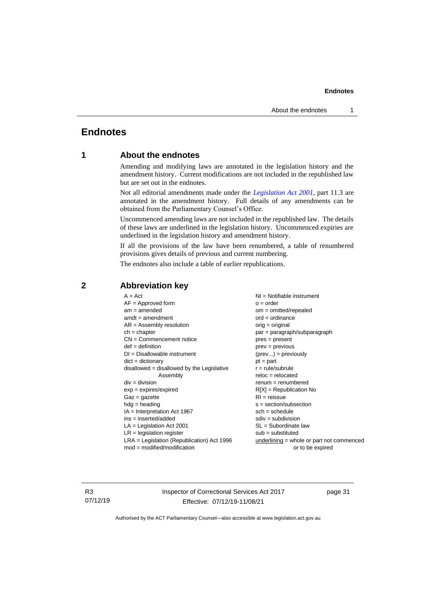# <span id="page-36-1"></span><span id="page-36-0"></span>**Endnotes**

### **1 About the endnotes**

Amending and modifying laws are annotated in the legislation history and the amendment history. Current modifications are not included in the republished law but are set out in the endnotes.

Not all editorial amendments made under the *[Legislation Act 2001](http://www.legislation.act.gov.au/a/2001-14)*, part 11.3 are annotated in the amendment history. Full details of any amendments can be obtained from the Parliamentary Counsel's Office.

Uncommenced amending laws are not included in the republished law. The details of these laws are underlined in the legislation history. Uncommenced expiries are underlined in the legislation history and amendment history.

If all the provisions of the law have been renumbered, a table of renumbered provisions gives details of previous and current numbering.

The endnotes also include a table of earlier republications.

| $A = Act$                                    | $NI =$ Notifiable instrument              |
|----------------------------------------------|-------------------------------------------|
| $AF =$ Approved form                         | $o = order$                               |
| $am = amended$                               | $om = omitted/repealed$                   |
| $amdt = amendment$                           | $ord = ordinance$                         |
| $AR = Assembly resolution$                   | $orig = original$                         |
| $ch = chapter$                               | par = paragraph/subparagraph              |
| $CN =$ Commencement notice                   | $pres = present$                          |
| $def = definition$                           | $prev = previous$                         |
| $DI = Disallowable instrument$               | $(\text{prev}) = \text{previously}$       |
| $dict = dictionary$                          | $pt = part$                               |
| $disallowed = disallowed by the Legislative$ | $r = rule/subrule$                        |
| Assembly                                     | $reloc = relocated$                       |
| $div = division$                             | $remum = renumbered$                      |
| $exp = expires/expired$                      | $R[X]$ = Republication No                 |
| $Gaz = gazette$                              | $RI = reissue$                            |
| $hdg =$ heading                              | $s = section/subsection$                  |
| $IA = Interpretation Act 1967$               | $sch = schedule$                          |
| $ins = inserted/added$                       | $sdiv = subdivision$                      |
| $LA =$ Legislation Act 2001                  | $SL = Subordinate$ law                    |
| $LR =$ legislation register                  | $sub =$ substituted                       |
| $LRA =$ Legislation (Republication) Act 1996 | underlining = whole or part not commenced |
| $mod = modified/modification$                | or to be expired                          |
|                                              |                                           |

### <span id="page-36-2"></span>**2 Abbreviation key**

R3 07/12/19 Inspector of Correctional Services Act 2017 Effective: 07/12/19-11/08/21

page 31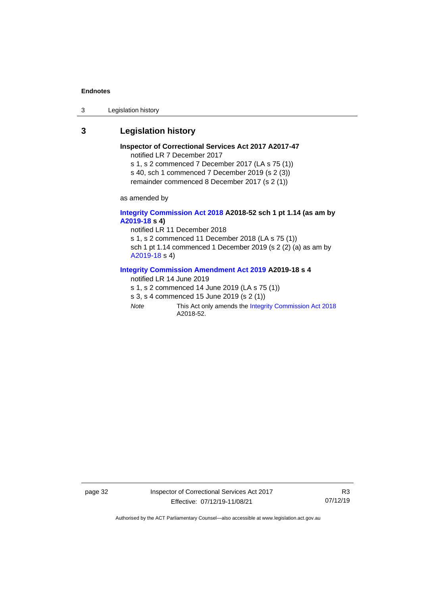3 Legislation history

### <span id="page-37-0"></span>**3 Legislation history**

**Inspector of Correctional Services Act 2017 A2017-47** notified LR 7 December 2017 s 1, s 2 commenced 7 December 2017 (LA s 75 (1)) s 40, sch 1 commenced 7 December 2019 (s 2 (3))

remainder commenced 8 December 2017 (s 2 (1))

as amended by

#### **[Integrity Commission Act 2018](http://www.legislation.act.gov.au/a/2018-52#history) A2018-52 sch 1 pt 1.14 (as am by [A2019-18](https://www.legislation.act.gov.au/a/2019-18) s 4)**

notified LR 11 December 2018 s 1, s 2 commenced 11 December 2018 (LA s 75 (1)) sch 1 pt 1.14 commenced 1 December 2019 (s 2 (2) (a) as am by [A2019-18](https://www.legislation.act.gov.au/a/2019-18) s 4)

#### **[Integrity Commission Amendment Act 2019](https://www.legislation.act.gov.au/a/2019-18/) A2019-18 s 4**

notified LR 14 June 2019

s 1, s 2 commenced 14 June 2019 (LA s 75 (1))

- s 3, s 4 commenced 15 June 2019 (s 2 (1))
- *Note* This Act only amends th[e Integrity Commission Act 2018](http://www.legislation.act.gov.au/a/2018-52#history) A2018-52.

page 32 Inspector of Correctional Services Act 2017 Effective: 07/12/19-11/08/21

R3 07/12/19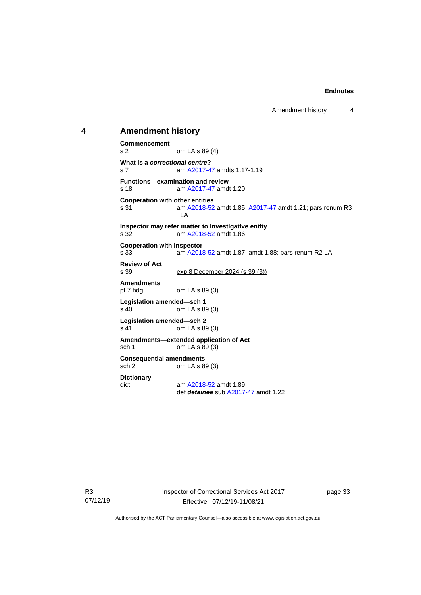Amendment history 4

#### <span id="page-38-0"></span>**4 Amendment history**

**Commencement** s 2 om LA s 89 (4) **What is a** *correctional centre***?** s 7 am [A2017-47](https://www.legislation.act.gov.au/a/2017-47/#history) amdts 1.17-1.19 **Functions—examination and review**<br>s 18 am A2017-47 amd am [A2017-47](https://www.legislation.act.gov.au/a/2017-47/#history) amdt 1.20 **Cooperation with other entities** s 31 **am [A2018-52](http://www.legislation.act.gov.au/a/2018-52#history) amdt 1.85[; A2017-47](https://www.legislation.act.gov.au/a/2017-47/#history) amdt 1.21; pars renum R3** LA **Inspector may refer matter to investigative entity** s 32 am [A2018-52](http://www.legislation.act.gov.au/a/2018-52#history) amdt 1.86 **Cooperation with inspector**<br>s 33 am A2018 am [A2018-52](http://www.legislation.act.gov.au/a/2018-52#history) amdt 1.87, amdt 1.88; pars renum R2 LA **Review of Act** s 39 exp 8 December 2024 (s 39 (3)) **Amendments** om LA s  $89(3)$ **Legislation amended—sch 1** s 40 om LA s 89 (3) **Legislation amended—sch 2** s 41 om LA s 89 (3) **Amendments—extended application of Act** sch 1 om LA s 89 (3) **Consequential amendments** sch 2 om LA s 89 (3) **Dictionary** dict am [A2018-52](http://www.legislation.act.gov.au/a/2018-52#history) amdt 1.89 def *detainee* sub [A2017-47](https://www.legislation.act.gov.au/a/2017-47/#history) amdt 1.22

R3 07/12/19 Inspector of Correctional Services Act 2017 Effective: 07/12/19-11/08/21

page 33